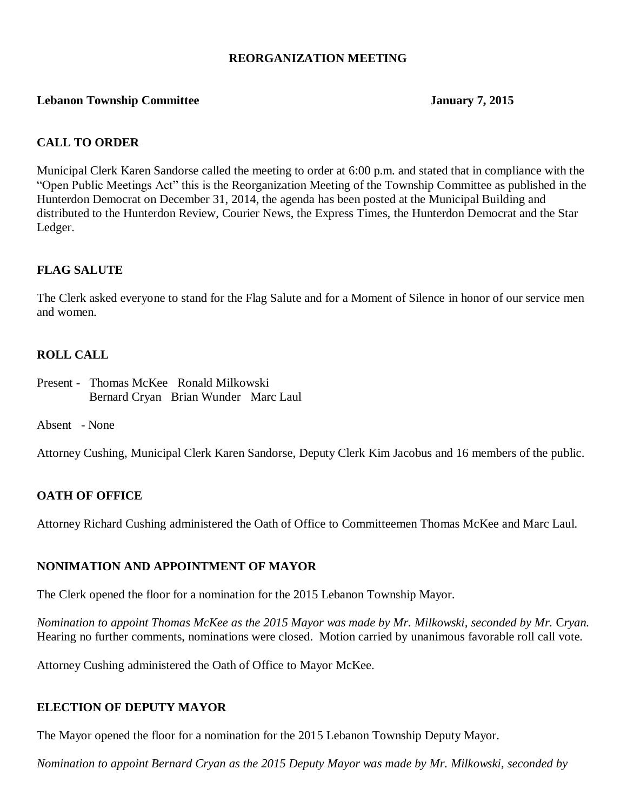### **REORGANIZATION MEETING**

#### **Lebanon Township Committee January 7, 2015**

### **CALL TO ORDER**

Municipal Clerk Karen Sandorse called the meeting to order at 6:00 p.m. and stated that in compliance with the "Open Public Meetings Act" this is the Reorganization Meeting of the Township Committee as published in the Hunterdon Democrat on December 31, 2014, the agenda has been posted at the Municipal Building and distributed to the Hunterdon Review, Courier News, the Express Times, the Hunterdon Democrat and the Star Ledger.

### **FLAG SALUTE**

The Clerk asked everyone to stand for the Flag Salute and for a Moment of Silence in honor of our service men and women.

### **ROLL CALL**

- Present Thomas McKee Ronald Milkowski Bernard Cryan Brian Wunder Marc Laul
- Absent None

Attorney Cushing, Municipal Clerk Karen Sandorse, Deputy Clerk Kim Jacobus and 16 members of the public.

#### **OATH OF OFFICE**

Attorney Richard Cushing administered the Oath of Office to Committeemen Thomas McKee and Marc Laul.

### **NONIMATION AND APPOINTMENT OF MAYOR**

The Clerk opened the floor for a nomination for the 2015 Lebanon Township Mayor.

*Nomination to appoint Thomas McKee as the 2015 Mayor was made by Mr. Milkowski, seconded by Mr.* C*ryan.* Hearing no further comments, nominations were closed. Motion carried by unanimous favorable roll call vote.

Attorney Cushing administered the Oath of Office to Mayor McKee.

#### **ELECTION OF DEPUTY MAYOR**

The Mayor opened the floor for a nomination for the 2015 Lebanon Township Deputy Mayor.

*Nomination to appoint Bernard Cryan as the 2015 Deputy Mayor was made by Mr. Milkowski, seconded by*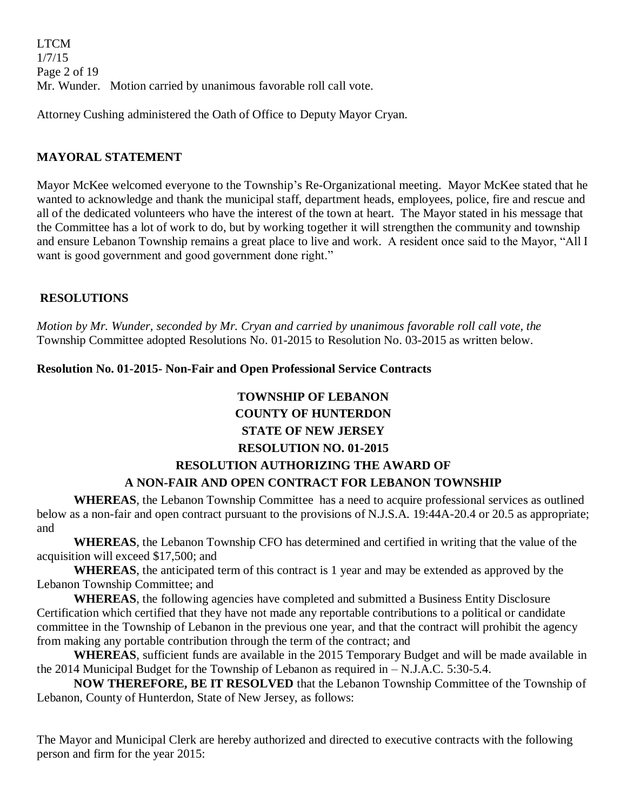LTCM 1/7/15 Page 2 of 19 Mr. Wunder. Motion carried by unanimous favorable roll call vote.

Attorney Cushing administered the Oath of Office to Deputy Mayor Cryan.

# **MAYORAL STATEMENT**

Mayor McKee welcomed everyone to the Township's Re-Organizational meeting. Mayor McKee stated that he wanted to acknowledge and thank the municipal staff, department heads, employees, police, fire and rescue and all of the dedicated volunteers who have the interest of the town at heart. The Mayor stated in his message that the Committee has a lot of work to do, but by working together it will strengthen the community and township and ensure Lebanon Township remains a great place to live and work. A resident once said to the Mayor, "All I want is good government and good government done right."

# **RESOLUTIONS**

*Motion by Mr. Wunder, seconded by Mr. Cryan and carried by unanimous favorable roll call vote, the* Township Committee adopted Resolutions No. 01-2015 to Resolution No. 03-2015 as written below.

### **Resolution No. 01-2015- Non-Fair and Open Professional Service Contracts**

# **TOWNSHIP OF LEBANON COUNTY OF HUNTERDON STATE OF NEW JERSEY**

### **RESOLUTION NO. 01-2015**

# **RESOLUTION AUTHORIZING THE AWARD OF A NON-FAIR AND OPEN CONTRACT FOR LEBANON TOWNSHIP**

**WHEREAS**, the Lebanon Township Committee has a need to acquire professional services as outlined below as a non-fair and open contract pursuant to the provisions of N.J.S.A. 19:44A-20.4 or 20.5 as appropriate; and

**WHEREAS**, the Lebanon Township CFO has determined and certified in writing that the value of the acquisition will exceed \$17,500; and

**WHEREAS**, the anticipated term of this contract is 1 year and may be extended as approved by the Lebanon Township Committee; and

**WHEREAS**, the following agencies have completed and submitted a Business Entity Disclosure Certification which certified that they have not made any reportable contributions to a political or candidate committee in the Township of Lebanon in the previous one year, and that the contract will prohibit the agency from making any portable contribution through the term of the contract; and

**WHEREAS**, sufficient funds are available in the 2015 Temporary Budget and will be made available in the 2014 Municipal Budget for the Township of Lebanon as required in – N.J.A.C. 5:30-5.4.

**NOW THEREFORE, BE IT RESOLVED** that the Lebanon Township Committee of the Township of Lebanon, County of Hunterdon, State of New Jersey, as follows:

The Mayor and Municipal Clerk are hereby authorized and directed to executive contracts with the following person and firm for the year 2015: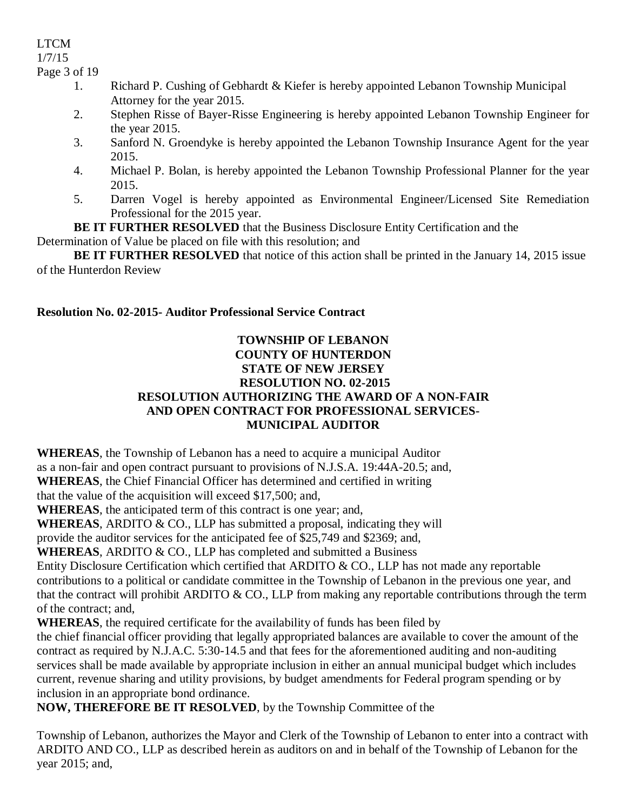1/7/15

Page 3 of 19

- 1. Richard P. Cushing of Gebhardt & Kiefer is hereby appointed Lebanon Township Municipal Attorney for the year 2015.
- 2. Stephen Risse of Bayer-Risse Engineering is hereby appointed Lebanon Township Engineer for the year 2015.
- 3. Sanford N. Groendyke is hereby appointed the Lebanon Township Insurance Agent for the year 2015.
- 4. Michael P. Bolan, is hereby appointed the Lebanon Township Professional Planner for the year 2015.
- 5. Darren Vogel is hereby appointed as Environmental Engineer/Licensed Site Remediation Professional for the 2015 year.

**BE IT FURTHER RESOLVED** that the Business Disclosure Entity Certification and the Determination of Value be placed on file with this resolution; and

**BE IT FURTHER RESOLVED** that notice of this action shall be printed in the January 14, 2015 issue of the Hunterdon Review

# **Resolution No. 02-2015- Auditor Professional Service Contract**

### **TOWNSHIP OF LEBANON COUNTY OF HUNTERDON STATE OF NEW JERSEY RESOLUTION NO. 02-2015 RESOLUTION AUTHORIZING THE AWARD OF A NON-FAIR AND OPEN CONTRACT FOR PROFESSIONAL SERVICES-MUNICIPAL AUDITOR**

**WHEREAS**, the Township of Lebanon has a need to acquire a municipal Auditor as a non-fair and open contract pursuant to provisions of N.J.S.A. 19:44A-20.5; and, **WHEREAS**, the Chief Financial Officer has determined and certified in writing

that the value of the acquisition will exceed \$17,500; and,

**WHEREAS**, the anticipated term of this contract is one year; and,

**WHEREAS**, ARDITO & CO., LLP has submitted a proposal, indicating they will

provide the auditor services for the anticipated fee of \$25,749 and \$2369; and,

**WHEREAS**, ARDITO & CO., LLP has completed and submitted a Business

Entity Disclosure Certification which certified that ARDITO & CO., LLP has not made any reportable contributions to a political or candidate committee in the Township of Lebanon in the previous one year, and that the contract will prohibit ARDITO  $& CO$ , LLP from making any reportable contributions through the term of the contract; and,

**WHEREAS**, the required certificate for the availability of funds has been filed by

the chief financial officer providing that legally appropriated balances are available to cover the amount of the contract as required by N.J.A.C. 5:30-14.5 and that fees for the aforementioned auditing and non-auditing services shall be made available by appropriate inclusion in either an annual municipal budget which includes current, revenue sharing and utility provisions, by budget amendments for Federal program spending or by inclusion in an appropriate bond ordinance.

**NOW, THEREFORE BE IT RESOLVED**, by the Township Committee of the

Township of Lebanon, authorizes the Mayor and Clerk of the Township of Lebanon to enter into a contract with ARDITO AND CO., LLP as described herein as auditors on and in behalf of the Township of Lebanon for the year 2015; and,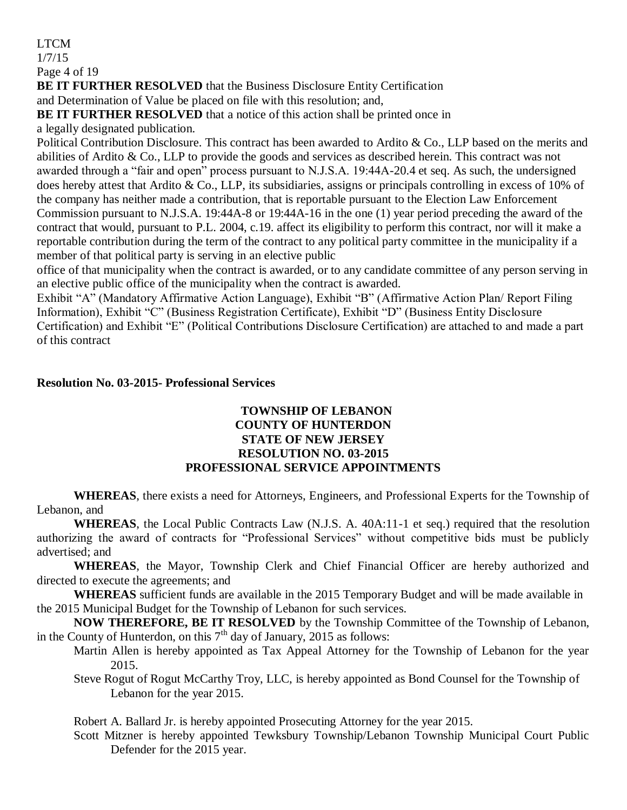1/7/15

Page 4 of 19

**BE IT FURTHER RESOLVED** that the Business Disclosure Entity Certification

and Determination of Value be placed on file with this resolution; and,

**BE IT FURTHER RESOLVED** that a notice of this action shall be printed once in

a legally designated publication.

Political Contribution Disclosure. This contract has been awarded to Ardito & Co., LLP based on the merits and abilities of Ardito & Co., LLP to provide the goods and services as described herein. This contract was not awarded through a "fair and open" process pursuant to N.J.S.A. 19:44A-20.4 et seq. As such, the undersigned does hereby attest that Ardito & Co., LLP, its subsidiaries, assigns or principals controlling in excess of 10% of the company has neither made a contribution, that is reportable pursuant to the Election Law Enforcement Commission pursuant to N.J.S.A. 19:44A-8 or 19:44A-16 in the one (1) year period preceding the award of the contract that would, pursuant to P.L. 2004, c.19. affect its eligibility to perform this contract, nor will it make a reportable contribution during the term of the contract to any political party committee in the municipality if a member of that political party is serving in an elective public

office of that municipality when the contract is awarded, or to any candidate committee of any person serving in an elective public office of the municipality when the contract is awarded.

Exhibit "A" (Mandatory Affirmative Action Language), Exhibit "B" (Affirmative Action Plan/ Report Filing Information), Exhibit "C" (Business Registration Certificate), Exhibit "D" (Business Entity Disclosure Certification) and Exhibit "E" (Political Contributions Disclosure Certification) are attached to and made a part of this contract

### **Resolution No. 03-2015- Professional Services**

### **TOWNSHIP OF LEBANON COUNTY OF HUNTERDON STATE OF NEW JERSEY RESOLUTION NO. 03-2015 PROFESSIONAL SERVICE APPOINTMENTS**

**WHEREAS**, there exists a need for Attorneys, Engineers, and Professional Experts for the Township of Lebanon, and

**WHEREAS**, the Local Public Contracts Law (N.J.S. A. 40A:11-1 et seq.) required that the resolution authorizing the award of contracts for "Professional Services" without competitive bids must be publicly advertised; and

**WHEREAS**, the Mayor, Township Clerk and Chief Financial Officer are hereby authorized and directed to execute the agreements; and

**WHEREAS** sufficient funds are available in the 2015 Temporary Budget and will be made available in the 2015 Municipal Budget for the Township of Lebanon for such services.

**NOW THEREFORE, BE IT RESOLVED** by the Township Committee of the Township of Lebanon, in the County of Hunterdon, on this  $7<sup>th</sup>$  day of January, 2015 as follows:

Martin Allen is hereby appointed as Tax Appeal Attorney for the Township of Lebanon for the year 2015.

Steve Rogut of Rogut McCarthy Troy, LLC, is hereby appointed as Bond Counsel for the Township of Lebanon for the year 2015.

Robert A. Ballard Jr. is hereby appointed Prosecuting Attorney for the year 2015.

Scott Mitzner is hereby appointed Tewksbury Township/Lebanon Township Municipal Court Public Defender for the 2015 year.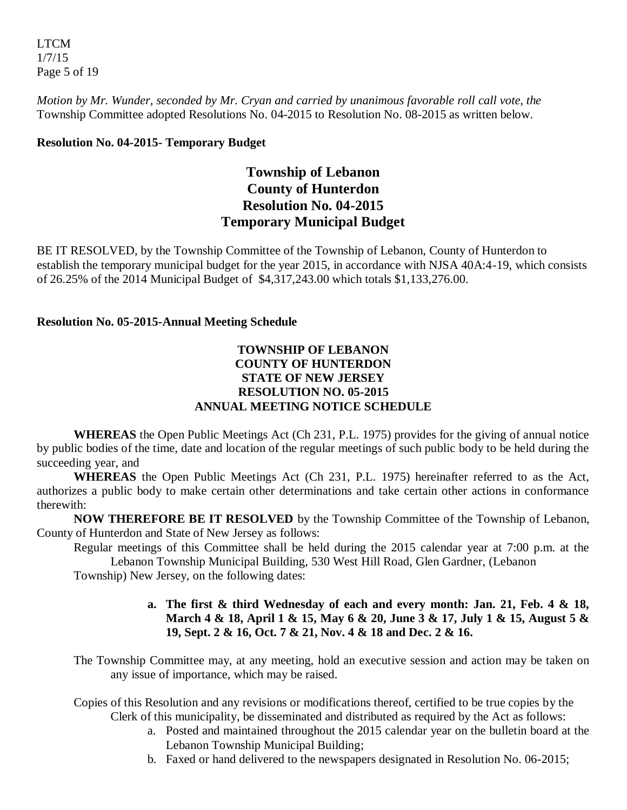LTCM 1/7/15 Page 5 of 19

*Motion by Mr. Wunder, seconded by Mr. Cryan and carried by unanimous favorable roll call vote, the* Township Committee adopted Resolutions No. 04-2015 to Resolution No. 08-2015 as written below.

### **Resolution No. 04-2015- Temporary Budget**

# **Township of Lebanon County of Hunterdon Resolution No. 04-2015 Temporary Municipal Budget**

BE IT RESOLVED, by the Township Committee of the Township of Lebanon, County of Hunterdon to establish the temporary municipal budget for the year 2015, in accordance with NJSA 40A:4-19, which consists of 26.25% of the 2014 Municipal Budget of \$4,317,243.00 which totals \$1,133,276.00.

### **Resolution No. 05-2015-Annual Meeting Schedule**

### **TOWNSHIP OF LEBANON COUNTY OF HUNTERDON STATE OF NEW JERSEY RESOLUTION NO. 05-2015 ANNUAL MEETING NOTICE SCHEDULE**

**WHEREAS** the Open Public Meetings Act (Ch 231, P.L. 1975) provides for the giving of annual notice by public bodies of the time, date and location of the regular meetings of such public body to be held during the succeeding year, and

**WHEREAS** the Open Public Meetings Act (Ch 231, P.L. 1975) hereinafter referred to as the Act, authorizes a public body to make certain other determinations and take certain other actions in conformance therewith:

**NOW THEREFORE BE IT RESOLVED** by the Township Committee of the Township of Lebanon, County of Hunterdon and State of New Jersey as follows:

Regular meetings of this Committee shall be held during the 2015 calendar year at 7:00 p.m. at the

Lebanon Township Municipal Building, 530 West Hill Road, Glen Gardner, (Lebanon Township) New Jersey, on the following dates:

# **a. The first & third Wednesday of each and every month: Jan. 21, Feb. 4 & 18, March 4 & 18, April 1 & 15, May 6 & 20, June 3 & 17, July 1 & 15, August 5 & 19, Sept. 2 & 16, Oct. 7 & 21, Nov. 4 & 18 and Dec. 2 & 16.**

- The Township Committee may, at any meeting, hold an executive session and action may be taken on any issue of importance, which may be raised.
- Copies of this Resolution and any revisions or modifications thereof, certified to be true copies by the Clerk of this municipality, be disseminated and distributed as required by the Act as follows:
	- a. Posted and maintained throughout the 2015 calendar year on the bulletin board at the Lebanon Township Municipal Building;
	- b. Faxed or hand delivered to the newspapers designated in Resolution No. 06-2015;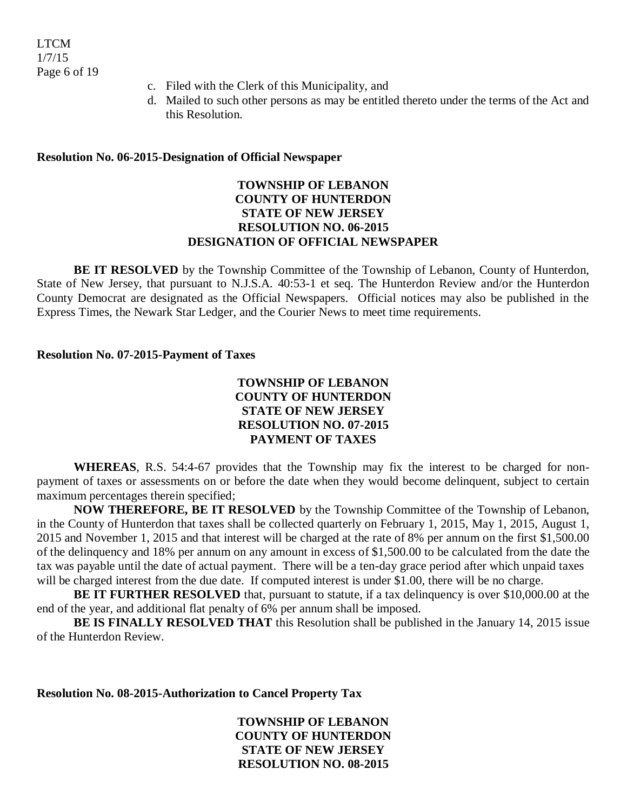- c. Filed with the Clerk of this Municipality, and
- d. Mailed to such other persons as may be entitled thereto under the terms of the Act and this Resolution.

#### **Resolution No. 06-2015-Designation of Official Newspaper**

### **TOWNSHIP OF LEBANON COUNTY OF HUNTERDON STATE OF NEW JERSEY RESOLUTION NO. 06-2015 DESIGNATION OF OFFICIAL NEWSPAPER**

**BE IT RESOLVED** by the Township Committee of the Township of Lebanon, County of Hunterdon, State of New Jersey, that pursuant to N.J.S.A. 40:53-1 et seq. The Hunterdon Review and/or the Hunterdon County Democrat are designated as the Official Newspapers. Official notices may also be published in the Express Times, the Newark Star Ledger, and the Courier News to meet time requirements.

#### **Resolution No. 07-2015-Payment of Taxes**

### **TOWNSHIP OF LEBANON COUNTY OF HUNTERDON STATE OF NEW JERSEY RESOLUTION NO. 07-2015 PAYMENT OF TAXES**

**WHEREAS**, R.S. 54:4-67 provides that the Township may fix the interest to be charged for nonpayment of taxes or assessments on or before the date when they would become delinquent, subject to certain maximum percentages therein specified;

**NOW THEREFORE, BE IT RESOLVED** by the Township Committee of the Township of Lebanon, in the County of Hunterdon that taxes shall be collected quarterly on February 1, 2015, May 1, 2015, August 1, 2015 and November 1, 2015 and that interest will be charged at the rate of 8% per annum on the first \$1,500.00 of the delinquency and 18% per annum on any amount in excess of \$1,500.00 to be calculated from the date the tax was payable until the date of actual payment. There will be a ten-day grace period after which unpaid taxes will be charged interest from the due date. If computed interest is under \$1.00, there will be no charge.

**BE IT FURTHER RESOLVED** that, pursuant to statute, if a tax delinquency is over \$10,000.00 at the end of the year, and additional flat penalty of 6% per annum shall be imposed.

**BE IS FINALLY RESOLVED THAT** this Resolution shall be published in the January 14, 2015 issue of the Hunterdon Review.

**Resolution No. 08-2015-Authorization to Cancel Property Tax**

**TOWNSHIP OF LEBANON COUNTY OF HUNTERDON STATE OF NEW JERSEY RESOLUTION NO. 08-2015**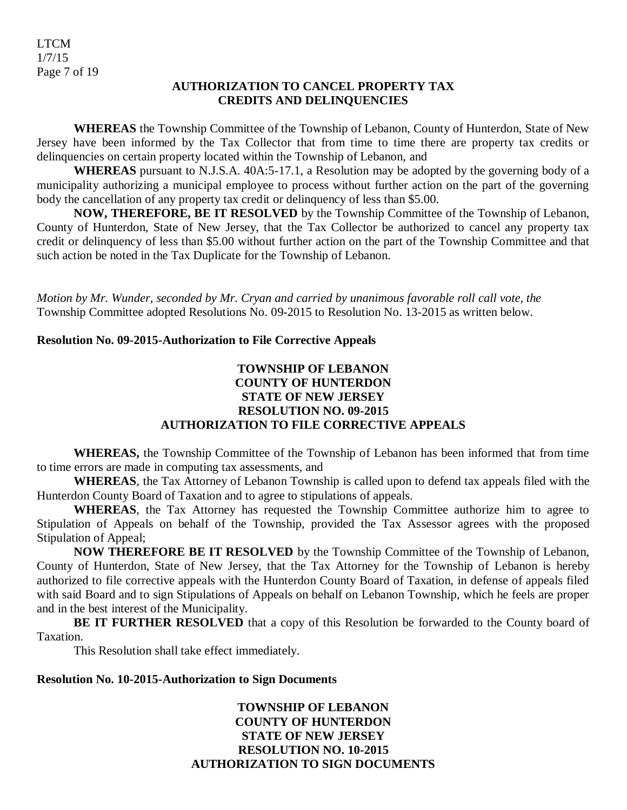LTCM 1/7/15 Page 7 of 19

#### **AUTHORIZATION TO CANCEL PROPERTY TAX CREDITS AND DELINQUENCIES**

**WHEREAS** the Township Committee of the Township of Lebanon, County of Hunterdon, State of New Jersey have been informed by the Tax Collector that from time to time there are property tax credits or delinquencies on certain property located within the Township of Lebanon, and

**WHEREAS** pursuant to N.J.S.A. 40A:5-17.1, a Resolution may be adopted by the governing body of a municipality authorizing a municipal employee to process without further action on the part of the governing body the cancellation of any property tax credit or delinquency of less than \$5.00.

**NOW, THEREFORE, BE IT RESOLVED** by the Township Committee of the Township of Lebanon, County of Hunterdon, State of New Jersey, that the Tax Collector be authorized to cancel any property tax credit or delinquency of less than \$5.00 without further action on the part of the Township Committee and that such action be noted in the Tax Duplicate for the Township of Lebanon.

*Motion by Mr. Wunder, seconded by Mr. Cryan and carried by unanimous favorable roll call vote, the* Township Committee adopted Resolutions No. 09-2015 to Resolution No. 13-2015 as written below.

### **Resolution No. 09-2015-Authorization to File Corrective Appeals**

### **TOWNSHIP OF LEBANON COUNTY OF HUNTERDON STATE OF NEW JERSEY RESOLUTION NO. 09-2015 AUTHORIZATION TO FILE CORRECTIVE APPEALS**

**WHEREAS,** the Township Committee of the Township of Lebanon has been informed that from time to time errors are made in computing tax assessments, and

**WHEREAS**, the Tax Attorney of Lebanon Township is called upon to defend tax appeals filed with the Hunterdon County Board of Taxation and to agree to stipulations of appeals.

**WHEREAS**, the Tax Attorney has requested the Township Committee authorize him to agree to Stipulation of Appeals on behalf of the Township, provided the Tax Assessor agrees with the proposed Stipulation of Appeal;

**NOW THEREFORE BE IT RESOLVED** by the Township Committee of the Township of Lebanon, County of Hunterdon, State of New Jersey, that the Tax Attorney for the Township of Lebanon is hereby authorized to file corrective appeals with the Hunterdon County Board of Taxation, in defense of appeals filed with said Board and to sign Stipulations of Appeals on behalf on Lebanon Township, which he feels are proper and in the best interest of the Municipality.

**BE IT FURTHER RESOLVED** that a copy of this Resolution be forwarded to the County board of Taxation.

This Resolution shall take effect immediately.

#### **Resolution No. 10-2015-Authorization to Sign Documents**

### **TOWNSHIP OF LEBANON COUNTY OF HUNTERDON STATE OF NEW JERSEY RESOLUTION NO. 10-2015 AUTHORIZATION TO SIGN DOCUMENTS**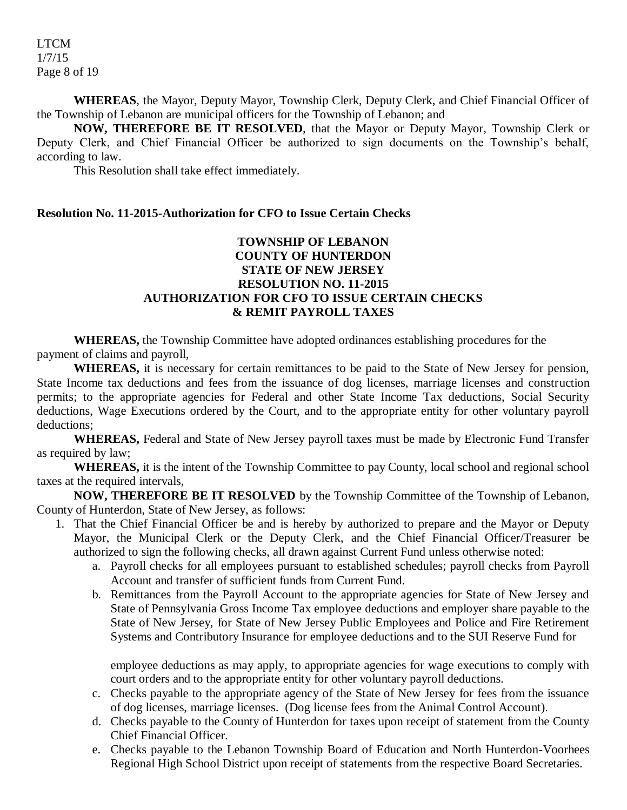LTCM 1/7/15 Page 8 of 19

**WHEREAS**, the Mayor, Deputy Mayor, Township Clerk, Deputy Clerk, and Chief Financial Officer of the Township of Lebanon are municipal officers for the Township of Lebanon; and

**NOW, THEREFORE BE IT RESOLVED**, that the Mayor or Deputy Mayor, Township Clerk or Deputy Clerk, and Chief Financial Officer be authorized to sign documents on the Township's behalf, according to law.

This Resolution shall take effect immediately.

#### **Resolution No. 11-2015-Authorization for CFO to Issue Certain Checks**

### **TOWNSHIP OF LEBANON COUNTY OF HUNTERDON STATE OF NEW JERSEY RESOLUTION NO. 11-2015 AUTHORIZATION FOR CFO TO ISSUE CERTAIN CHECKS & REMIT PAYROLL TAXES**

**WHEREAS,** the Township Committee have adopted ordinances establishing procedures for the payment of claims and payroll,

**WHEREAS,** it is necessary for certain remittances to be paid to the State of New Jersey for pension, State Income tax deductions and fees from the issuance of dog licenses, marriage licenses and construction permits; to the appropriate agencies for Federal and other State Income Tax deductions, Social Security deductions, Wage Executions ordered by the Court, and to the appropriate entity for other voluntary payroll deductions;

**WHEREAS,** Federal and State of New Jersey payroll taxes must be made by Electronic Fund Transfer as required by law;

**WHEREAS,** it is the intent of the Township Committee to pay County, local school and regional school taxes at the required intervals,

**NOW, THEREFORE BE IT RESOLVED** by the Township Committee of the Township of Lebanon, County of Hunterdon, State of New Jersey, as follows:

- 1. That the Chief Financial Officer be and is hereby by authorized to prepare and the Mayor or Deputy Mayor, the Municipal Clerk or the Deputy Clerk, and the Chief Financial Officer/Treasurer be authorized to sign the following checks, all drawn against Current Fund unless otherwise noted:
	- a. Payroll checks for all employees pursuant to established schedules; payroll checks from Payroll Account and transfer of sufficient funds from Current Fund.
	- b. Remittances from the Payroll Account to the appropriate agencies for State of New Jersey and State of Pennsylvania Gross Income Tax employee deductions and employer share payable to the State of New Jersey, for State of New Jersey Public Employees and Police and Fire Retirement Systems and Contributory Insurance for employee deductions and to the SUI Reserve Fund for

employee deductions as may apply, to appropriate agencies for wage executions to comply with court orders and to the appropriate entity for other voluntary payroll deductions.

- c. Checks payable to the appropriate agency of the State of New Jersey for fees from the issuance of dog licenses, marriage licenses. (Dog license fees from the Animal Control Account).
- d. Checks payable to the County of Hunterdon for taxes upon receipt of statement from the County Chief Financial Officer.
- e. Checks payable to the Lebanon Township Board of Education and North Hunterdon-Voorhees Regional High School District upon receipt of statements from the respective Board Secretaries.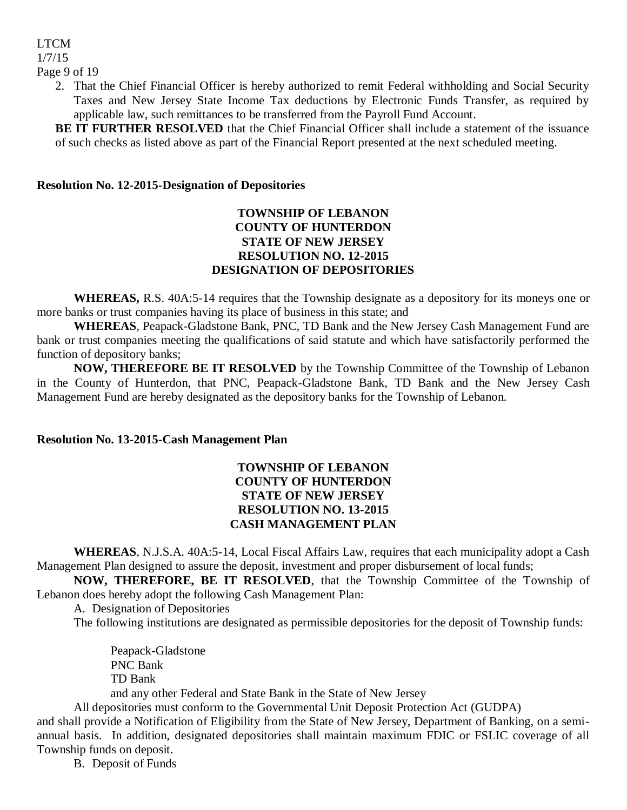# LTCM 1/7/15

Page 9 of 19

2. That the Chief Financial Officer is hereby authorized to remit Federal withholding and Social Security Taxes and New Jersey State Income Tax deductions by Electronic Funds Transfer, as required by applicable law, such remittances to be transferred from the Payroll Fund Account.

**BE IT FURTHER RESOLVED** that the Chief Financial Officer shall include a statement of the issuance of such checks as listed above as part of the Financial Report presented at the next scheduled meeting.

### **Resolution No. 12-2015-Designation of Depositories**

### **TOWNSHIP OF LEBANON COUNTY OF HUNTERDON STATE OF NEW JERSEY RESOLUTION NO. 12-2015 DESIGNATION OF DEPOSITORIES**

**WHEREAS,** R.S. 40A:5-14 requires that the Township designate as a depository for its moneys one or more banks or trust companies having its place of business in this state; and

**WHEREAS**, Peapack-Gladstone Bank, PNC, TD Bank and the New Jersey Cash Management Fund are bank or trust companies meeting the qualifications of said statute and which have satisfactorily performed the function of depository banks;

**NOW, THEREFORE BE IT RESOLVED** by the Township Committee of the Township of Lebanon in the County of Hunterdon, that PNC, Peapack-Gladstone Bank, TD Bank and the New Jersey Cash Management Fund are hereby designated as the depository banks for the Township of Lebanon.

#### **Resolution No. 13-2015-Cash Management Plan**

### **TOWNSHIP OF LEBANON COUNTY OF HUNTERDON STATE OF NEW JERSEY RESOLUTION NO. 13-2015 CASH MANAGEMENT PLAN**

**WHEREAS**, N.J.S.A. 40A:5-14, Local Fiscal Affairs Law, requires that each municipality adopt a Cash Management Plan designed to assure the deposit, investment and proper disbursement of local funds;

**NOW, THEREFORE, BE IT RESOLVED**, that the Township Committee of the Township of Lebanon does hereby adopt the following Cash Management Plan:

A. Designation of Depositories

The following institutions are designated as permissible depositories for the deposit of Township funds:

Peapack-Gladstone PNC Bank TD Bank

and any other Federal and State Bank in the State of New Jersey

All depositories must conform to the Governmental Unit Deposit Protection Act (GUDPA)

and shall provide a Notification of Eligibility from the State of New Jersey, Department of Banking, on a semiannual basis. In addition, designated depositories shall maintain maximum FDIC or FSLIC coverage of all Township funds on deposit.

B. Deposit of Funds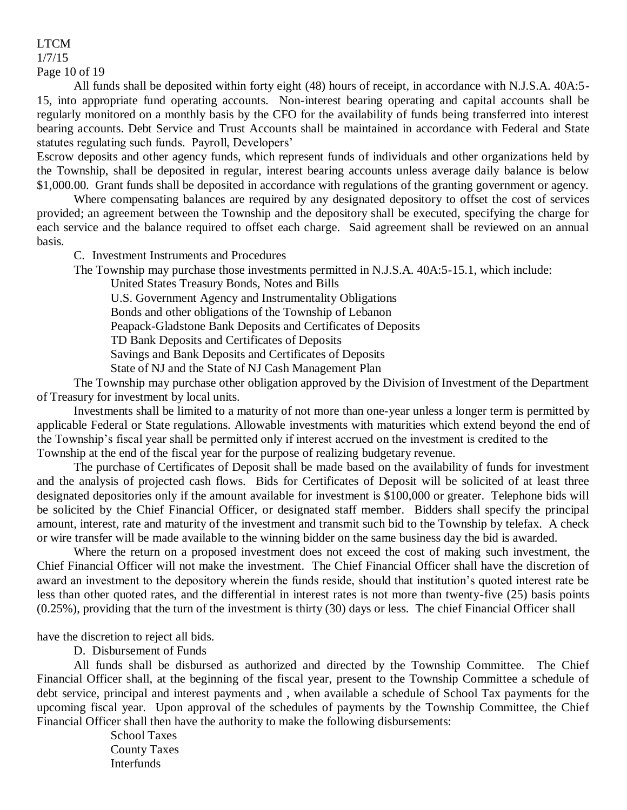1/7/15

Page 10 of 19

All funds shall be deposited within forty eight (48) hours of receipt, in accordance with N.J.S.A. 40A:5- 15, into appropriate fund operating accounts. Non-interest bearing operating and capital accounts shall be regularly monitored on a monthly basis by the CFO for the availability of funds being transferred into interest bearing accounts. Debt Service and Trust Accounts shall be maintained in accordance with Federal and State statutes regulating such funds. Payroll, Developers'

Escrow deposits and other agency funds, which represent funds of individuals and other organizations held by the Township, shall be deposited in regular, interest bearing accounts unless average daily balance is below \$1,000.00. Grant funds shall be deposited in accordance with regulations of the granting government or agency.

Where compensating balances are required by any designated depository to offset the cost of services provided; an agreement between the Township and the depository shall be executed, specifying the charge for each service and the balance required to offset each charge. Said agreement shall be reviewed on an annual basis.

C. Investment Instruments and Procedures

The Township may purchase those investments permitted in N.J.S.A. 40A:5-15.1, which include:

United States Treasury Bonds, Notes and Bills

U.S. Government Agency and Instrumentality Obligations

Bonds and other obligations of the Township of Lebanon

Peapack-Gladstone Bank Deposits and Certificates of Deposits

TD Bank Deposits and Certificates of Deposits

Savings and Bank Deposits and Certificates of Deposits

State of NJ and the State of NJ Cash Management Plan

The Township may purchase other obligation approved by the Division of Investment of the Department of Treasury for investment by local units.

Investments shall be limited to a maturity of not more than one-year unless a longer term is permitted by applicable Federal or State regulations. Allowable investments with maturities which extend beyond the end of the Township's fiscal year shall be permitted only if interest accrued on the investment is credited to the Township at the end of the fiscal year for the purpose of realizing budgetary revenue.

The purchase of Certificates of Deposit shall be made based on the availability of funds for investment and the analysis of projected cash flows. Bids for Certificates of Deposit will be solicited of at least three designated depositories only if the amount available for investment is \$100,000 or greater. Telephone bids will be solicited by the Chief Financial Officer, or designated staff member. Bidders shall specify the principal amount, interest, rate and maturity of the investment and transmit such bid to the Township by telefax. A check or wire transfer will be made available to the winning bidder on the same business day the bid is awarded.

Where the return on a proposed investment does not exceed the cost of making such investment, the Chief Financial Officer will not make the investment. The Chief Financial Officer shall have the discretion of award an investment to the depository wherein the funds reside, should that institution's quoted interest rate be less than other quoted rates, and the differential in interest rates is not more than twenty-five (25) basis points (0.25%), providing that the turn of the investment is thirty (30) days or less. The chief Financial Officer shall

have the discretion to reject all bids.

D. Disbursement of Funds

All funds shall be disbursed as authorized and directed by the Township Committee. The Chief Financial Officer shall, at the beginning of the fiscal year, present to the Township Committee a schedule of debt service, principal and interest payments and , when available a schedule of School Tax payments for the upcoming fiscal year. Upon approval of the schedules of payments by the Township Committee, the Chief Financial Officer shall then have the authority to make the following disbursements:

> School Taxes County Taxes Interfunds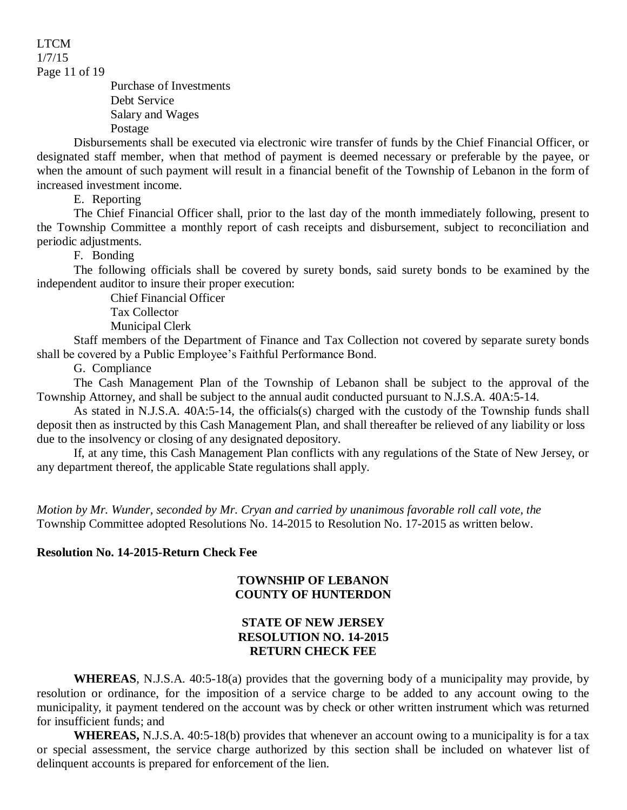1/7/15

Page 11 of 19

Purchase of Investments Debt Service Salary and Wages Postage

Disbursements shall be executed via electronic wire transfer of funds by the Chief Financial Officer, or designated staff member, when that method of payment is deemed necessary or preferable by the payee, or when the amount of such payment will result in a financial benefit of the Township of Lebanon in the form of increased investment income.

E. Reporting

The Chief Financial Officer shall, prior to the last day of the month immediately following, present to the Township Committee a monthly report of cash receipts and disbursement, subject to reconciliation and periodic adjustments.

F. Bonding

The following officials shall be covered by surety bonds, said surety bonds to be examined by the independent auditor to insure their proper execution:

Chief Financial Officer

Tax Collector

Municipal Clerk

Staff members of the Department of Finance and Tax Collection not covered by separate surety bonds shall be covered by a Public Employee's Faithful Performance Bond.

G. Compliance

The Cash Management Plan of the Township of Lebanon shall be subject to the approval of the Township Attorney, and shall be subject to the annual audit conducted pursuant to N.J.S.A. 40A:5-14.

As stated in N.J.S.A. 40A:5-14, the officials(s) charged with the custody of the Township funds shall deposit then as instructed by this Cash Management Plan, and shall thereafter be relieved of any liability or loss due to the insolvency or closing of any designated depository.

If, at any time, this Cash Management Plan conflicts with any regulations of the State of New Jersey, or any department thereof, the applicable State regulations shall apply.

*Motion by Mr. Wunder, seconded by Mr. Cryan and carried by unanimous favorable roll call vote, the* Township Committee adopted Resolutions No. 14-2015 to Resolution No. 17-2015 as written below.

### **Resolution No. 14-2015-Return Check Fee**

#### **TOWNSHIP OF LEBANON COUNTY OF HUNTERDON**

### **STATE OF NEW JERSEY RESOLUTION NO. 14-2015 RETURN CHECK FEE**

**WHEREAS**, N.J.S.A. 40:5-18(a) provides that the governing body of a municipality may provide, by resolution or ordinance, for the imposition of a service charge to be added to any account owing to the municipality, it payment tendered on the account was by check or other written instrument which was returned for insufficient funds; and

**WHEREAS,** N.J.S.A. 40:5-18(b) provides that whenever an account owing to a municipality is for a tax or special assessment, the service charge authorized by this section shall be included on whatever list of delinquent accounts is prepared for enforcement of the lien.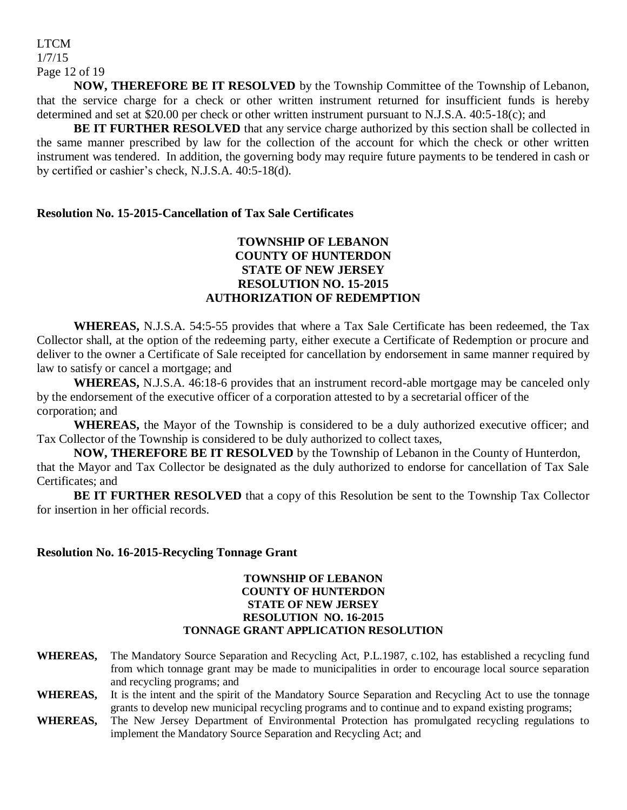### LTCM 1/7/15 Page 12 of 19

**NOW, THEREFORE BE IT RESOLVED** by the Township Committee of the Township of Lebanon, that the service charge for a check or other written instrument returned for insufficient funds is hereby determined and set at \$20.00 per check or other written instrument pursuant to N.J.S.A. 40:5-18(c); and

**BE IT FURTHER RESOLVED** that any service charge authorized by this section shall be collected in the same manner prescribed by law for the collection of the account for which the check or other written instrument was tendered. In addition, the governing body may require future payments to be tendered in cash or by certified or cashier's check, N.J.S.A. 40:5-18(d).

#### **Resolution No. 15-2015-Cancellation of Tax Sale Certificates**

### **TOWNSHIP OF LEBANON COUNTY OF HUNTERDON STATE OF NEW JERSEY RESOLUTION NO. 15-2015 AUTHORIZATION OF REDEMPTION**

**WHEREAS,** N.J.S.A. 54:5-55 provides that where a Tax Sale Certificate has been redeemed, the Tax Collector shall, at the option of the redeeming party, either execute a Certificate of Redemption or procure and deliver to the owner a Certificate of Sale receipted for cancellation by endorsement in same manner required by law to satisfy or cancel a mortgage; and

**WHEREAS,** N.J.S.A. 46:18-6 provides that an instrument record-able mortgage may be canceled only by the endorsement of the executive officer of a corporation attested to by a secretarial officer of the corporation; and

**WHEREAS,** the Mayor of the Township is considered to be a duly authorized executive officer; and Tax Collector of the Township is considered to be duly authorized to collect taxes,

**NOW, THEREFORE BE IT RESOLVED** by the Township of Lebanon in the County of Hunterdon, that the Mayor and Tax Collector be designated as the duly authorized to endorse for cancellation of Tax Sale Certificates; and

**BE IT FURTHER RESOLVED** that a copy of this Resolution be sent to the Township Tax Collector for insertion in her official records.

#### **Resolution No. 16-2015-Recycling Tonnage Grant**

#### **TOWNSHIP OF LEBANON COUNTY OF HUNTERDON STATE OF NEW JERSEY RESOLUTION NO. 16-2015 TONNAGE GRANT APPLICATION RESOLUTION**

- **WHEREAS,** The Mandatory Source Separation and Recycling Act, P.L.1987, c.102, has established a recycling fund from which tonnage grant may be made to municipalities in order to encourage local source separation and recycling programs; and
- **WHEREAS,** It is the intent and the spirit of the Mandatory Source Separation and Recycling Act to use the tonnage grants to develop new municipal recycling programs and to continue and to expand existing programs;
- **WHEREAS,** The New Jersey Department of Environmental Protection has promulgated recycling regulations to implement the Mandatory Source Separation and Recycling Act; and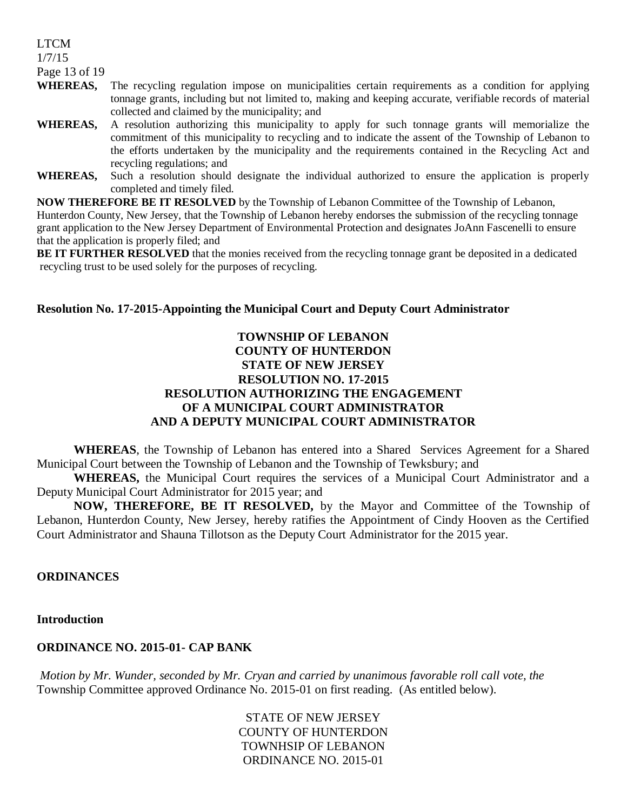1/7/15

Page 13 of 19

- **WHEREAS,** The recycling regulation impose on municipalities certain requirements as a condition for applying tonnage grants, including but not limited to, making and keeping accurate, verifiable records of material collected and claimed by the municipality; and
- **WHEREAS,** A resolution authorizing this municipality to apply for such tonnage grants will memorialize the commitment of this municipality to recycling and to indicate the assent of the Township of Lebanon to the efforts undertaken by the municipality and the requirements contained in the Recycling Act and recycling regulations; and
- **WHEREAS,** Such a resolution should designate the individual authorized to ensure the application is properly completed and timely filed.

**NOW THEREFORE BE IT RESOLVED** by the Township of Lebanon Committee of the Township of Lebanon,

Hunterdon County, New Jersey, that the Township of Lebanon hereby endorses the submission of the recycling tonnage grant application to the New Jersey Department of Environmental Protection and designates JoAnn Fascenelli to ensure that the application is properly filed; and

**BE IT FURTHER RESOLVED** that the monies received from the recycling tonnage grant be deposited in a dedicated recycling trust to be used solely for the purposes of recycling.

### **Resolution No. 17-2015-Appointing the Municipal Court and Deputy Court Administrator**

### **TOWNSHIP OF LEBANON COUNTY OF HUNTERDON STATE OF NEW JERSEY RESOLUTION NO. 17-2015 RESOLUTION AUTHORIZING THE ENGAGEMENT OF A MUNICIPAL COURT ADMINISTRATOR AND A DEPUTY MUNICIPAL COURT ADMINISTRATOR**

**WHEREAS**, the Township of Lebanon has entered into a Shared Services Agreement for a Shared Municipal Court between the Township of Lebanon and the Township of Tewksbury; and

**WHEREAS,** the Municipal Court requires the services of a Municipal Court Administrator and a Deputy Municipal Court Administrator for 2015 year; and

**NOW, THEREFORE, BE IT RESOLVED,** by the Mayor and Committee of the Township of Lebanon, Hunterdon County, New Jersey, hereby ratifies the Appointment of Cindy Hooven as the Certified Court Administrator and Shauna Tillotson as the Deputy Court Administrator for the 2015 year.

#### **ORDINANCES**

**Introduction**

### **ORDINANCE NO. 2015-01- CAP BANK**

*Motion by Mr. Wunder, seconded by Mr. Cryan and carried by unanimous favorable roll call vote, the* Township Committee approved Ordinance No. 2015-01 on first reading. (As entitled below).

> STATE OF NEW JERSEY COUNTY OF HUNTERDON TOWNHSIP OF LEBANON ORDINANCE NO. 2015-01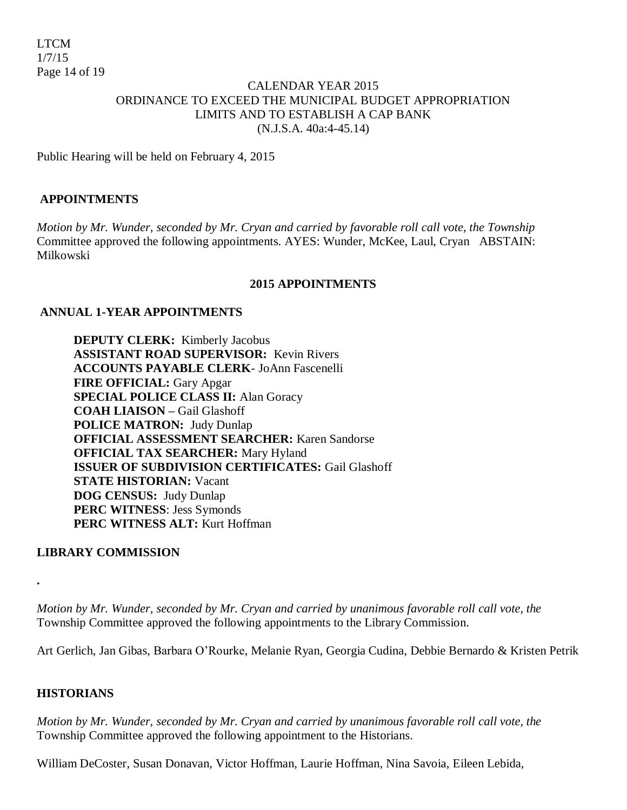### CALENDAR YEAR 2015 ORDINANCE TO EXCEED THE MUNICIPAL BUDGET APPROPRIATION LIMITS AND TO ESTABLISH A CAP BANK (N.J.S.A. 40a:4-45.14)

Public Hearing will be held on February 4, 2015

### **APPOINTMENTS**

*Motion by Mr. Wunder, seconded by Mr. Cryan and carried by favorable roll call vote, the Township*  Committee approved the following appointments. AYES: Wunder, McKee, Laul, Cryan ABSTAIN: Milkowski

#### **2015 APPOINTMENTS**

### **ANNUAL 1-YEAR APPOINTMENTS**

**DEPUTY CLERK:** Kimberly Jacobus **ASSISTANT ROAD SUPERVISOR:** Kevin Rivers **ACCOUNTS PAYABLE CLERK**- JoAnn Fascenelli **FIRE OFFICIAL:** Gary Apgar **SPECIAL POLICE CLASS II:** Alan Goracy **COAH LIAISON –** Gail Glashoff **POLICE MATRON:** Judy Dunlap **OFFICIAL ASSESSMENT SEARCHER:** Karen Sandorse **OFFICIAL TAX SEARCHER:** Mary Hyland **ISSUER OF SUBDIVISION CERTIFICATES:** Gail Glashoff **STATE HISTORIAN:** Vacant **DOG CENSUS:** Judy Dunlap **PERC WITNESS**: Jess Symonds **PERC WITNESS ALT:** Kurt Hoffman

#### **LIBRARY COMMISSION**

*Motion by Mr. Wunder, seconded by Mr. Cryan and carried by unanimous favorable roll call vote, the* Township Committee approved the following appointments to the Library Commission.

Art Gerlich, Jan Gibas, Barbara O'Rourke, Melanie Ryan, Georgia Cudina, Debbie Bernardo & Kristen Petrik

#### **HISTORIANS**

**.**

*Motion by Mr. Wunder, seconded by Mr. Cryan and carried by unanimous favorable roll call vote, the*  Township Committee approved the following appointment to the Historians.

William DeCoster, Susan Donavan, Victor Hoffman, Laurie Hoffman, Nina Savoia, Eileen Lebida,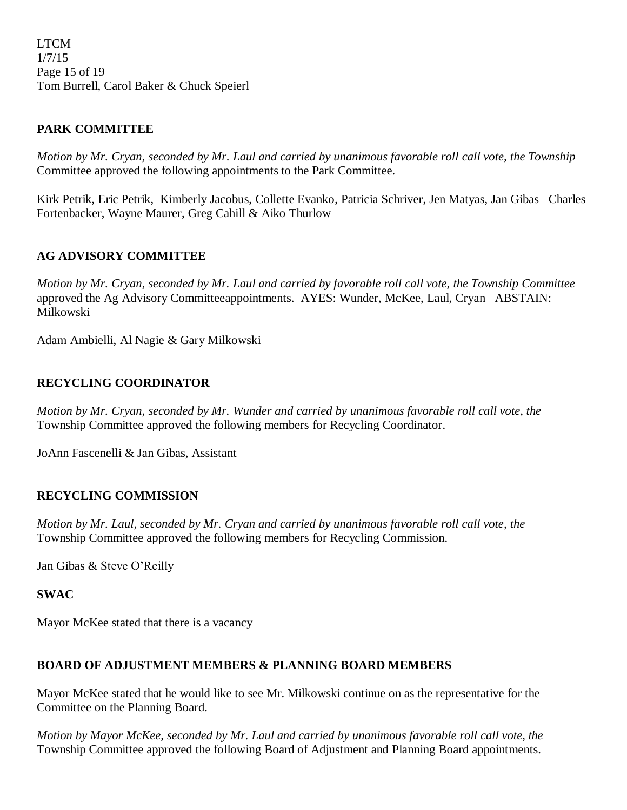LTCM 1/7/15 Page 15 of 19 Tom Burrell, Carol Baker & Chuck Speierl

### **PARK COMMITTEE**

*Motion by Mr. Cryan, seconded by Mr. Laul and carried by unanimous favorable roll call vote, the Township* Committee approved the following appointments to the Park Committee.

Kirk Petrik, Eric Petrik, Kimberly Jacobus, Collette Evanko, Patricia Schriver, Jen Matyas, Jan Gibas Charles Fortenbacker, Wayne Maurer, Greg Cahill & Aiko Thurlow

### **AG ADVISORY COMMITTEE**

*Motion by Mr. Cryan, seconded by Mr. Laul and carried by favorable roll call vote, the Township Committee*  approved the Ag Advisory Committeeappointments. AYES: Wunder, McKee, Laul, Cryan ABSTAIN: Milkowski

Adam Ambielli, Al Nagie & Gary Milkowski

### **RECYCLING COORDINATOR**

*Motion by Mr. Cryan, seconded by Mr. Wunder and carried by unanimous favorable roll call vote, the*  Township Committee approved the following members for Recycling Coordinator.

JoAnn Fascenelli & Jan Gibas, Assistant

### **RECYCLING COMMISSION**

*Motion by Mr. Laul, seconded by Mr. Cryan and carried by unanimous favorable roll call vote, the*  Township Committee approved the following members for Recycling Commission.

Jan Gibas & Steve O'Reilly

**SWAC**

Mayor McKee stated that there is a vacancy

### **BOARD OF ADJUSTMENT MEMBERS & PLANNING BOARD MEMBERS**

Mayor McKee stated that he would like to see Mr. Milkowski continue on as the representative for the Committee on the Planning Board.

*Motion by Mayor McKee, seconded by Mr. Laul and carried by unanimous favorable roll call vote, the*  Township Committee approved the following Board of Adjustment and Planning Board appointments.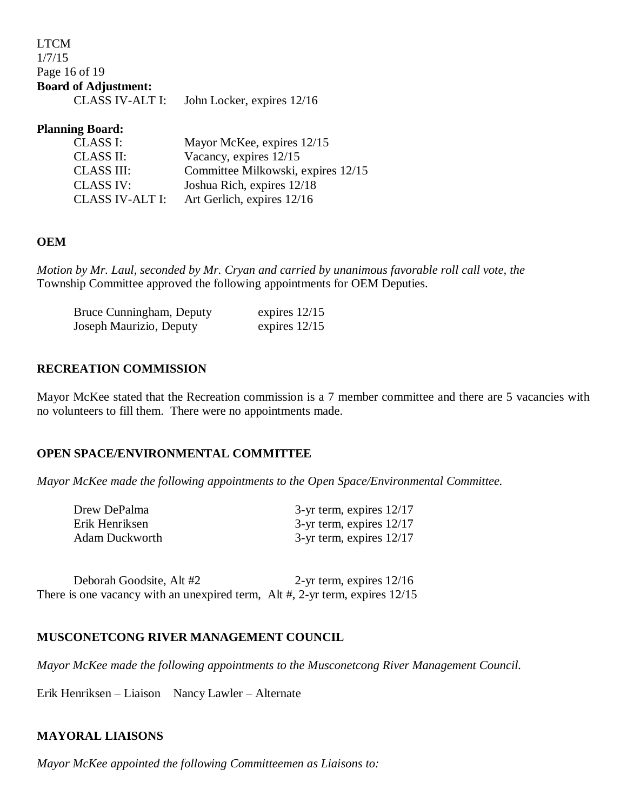| <b>LTCM</b>                 |                            |
|-----------------------------|----------------------------|
| 1/7/15                      |                            |
| Page 16 of 19               |                            |
| <b>Board of Adjustment:</b> |                            |
| CLASS IV-ALT I:             | John Locker, expires 12/16 |

### **Planning Board:**

| Mayor McKee, expires 12/15         |
|------------------------------------|
| Vacancy, expires 12/15             |
| Committee Milkowski, expires 12/15 |
| Joshua Rich, expires 12/18         |
| Art Gerlich, expires 12/16         |
|                                    |

### **OEM**

*Motion by Mr. Laul, seconded by Mr. Cryan and carried by unanimous favorable roll call vote, the*  Township Committee approved the following appointments for OEM Deputies.

| Bruce Cunningham, Deputy | expires $12/15$ |
|--------------------------|-----------------|
| Joseph Maurizio, Deputy  | expires $12/15$ |

#### **RECREATION COMMISSION**

Mayor McKee stated that the Recreation commission is a 7 member committee and there are 5 vacancies with no volunteers to fill them. There were no appointments made.

#### **OPEN SPACE/ENVIRONMENTAL COMMITTEE**

*Mayor McKee made the following appointments to the Open Space/Environmental Committee.*

| Drew DePalma          | $3$ -yr term, expires $12/17$ |
|-----------------------|-------------------------------|
| Erik Henriksen        | $3$ -yr term, expires $12/17$ |
| <b>Adam Duckworth</b> | $3$ -yr term, expires $12/17$ |

Deborah Goodsite, Alt #2 2-yr term, expires  $12/16$ There is one vacancy with an unexpired term, Alt #, 2-yr term, expires  $12/15$ 

#### **MUSCONETCONG RIVER MANAGEMENT COUNCIL**

*Mayor McKee made the following appointments to the Musconetcong River Management Council.*

Erik Henriksen – Liaison Nancy Lawler – Alternate

#### **MAYORAL LIAISONS**

*Mayor McKee appointed the following Committeemen as Liaisons to:*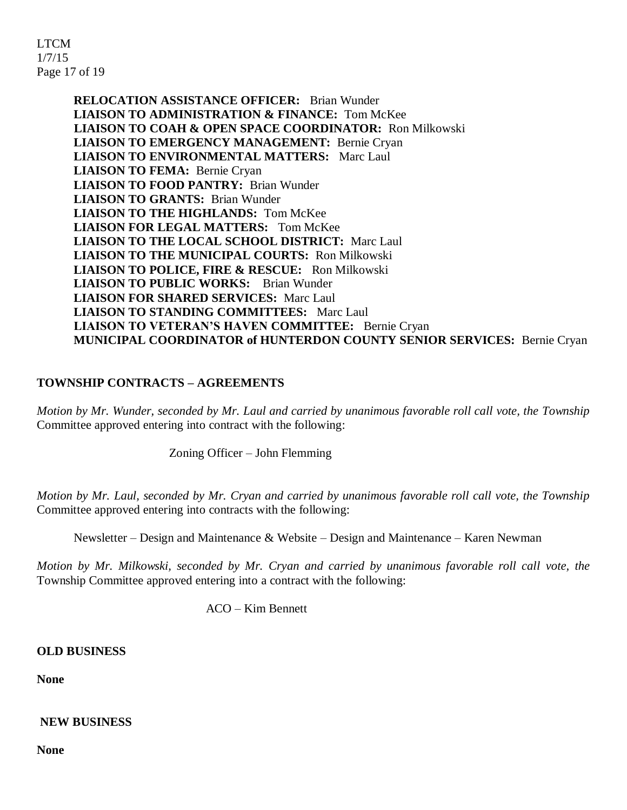LTCM 1/7/15 Page 17 of 19

> **RELOCATION ASSISTANCE OFFICER:** Brian Wunder **LIAISON TO ADMINISTRATION & FINANCE:** Tom McKee **LIAISON TO COAH & OPEN SPACE COORDINATOR:** Ron Milkowski **LIAISON TO EMERGENCY MANAGEMENT:** Bernie Cryan **LIAISON TO ENVIRONMENTAL MATTERS:** Marc Laul **LIAISON TO FEMA:** Bernie Cryan **LIAISON TO FOOD PANTRY:** Brian Wunder **LIAISON TO GRANTS:** Brian Wunder **LIAISON TO THE HIGHLANDS:** Tom McKee **LIAISON FOR LEGAL MATTERS:** Tom McKee **LIAISON TO THE LOCAL SCHOOL DISTRICT:** Marc Laul **LIAISON TO THE MUNICIPAL COURTS:** Ron Milkowski **LIAISON TO POLICE, FIRE & RESCUE:** Ron Milkowski **LIAISON TO PUBLIC WORKS:** Brian Wunder **LIAISON FOR SHARED SERVICES:** Marc Laul **LIAISON TO STANDING COMMITTEES:** Marc Laul **LIAISON TO VETERAN'S HAVEN COMMITTEE:** Bernie Cryan **MUNICIPAL COORDINATOR of HUNTERDON COUNTY SENIOR SERVICES:** Bernie Cryan

# **TOWNSHIP CONTRACTS – AGREEMENTS**

*Motion by Mr. Wunder, seconded by Mr. Laul and carried by unanimous favorable roll call vote, the Township* Committee approved entering into contract with the following:

Zoning Officer – John Flemming

*Motion by Mr. Laul, seconded by Mr. Cryan and carried by unanimous favorable roll call vote, the Township* Committee approved entering into contracts with the following:

Newsletter – Design and Maintenance & Website – Design and Maintenance – Karen Newman

*Motion by Mr. Milkowski, seconded by Mr. Cryan and carried by unanimous favorable roll call vote, the* Township Committee approved entering into a contract with the following:

ACO – Kim Bennett

**OLD BUSINESS** 

**None**

**NEW BUSINESS**

**None**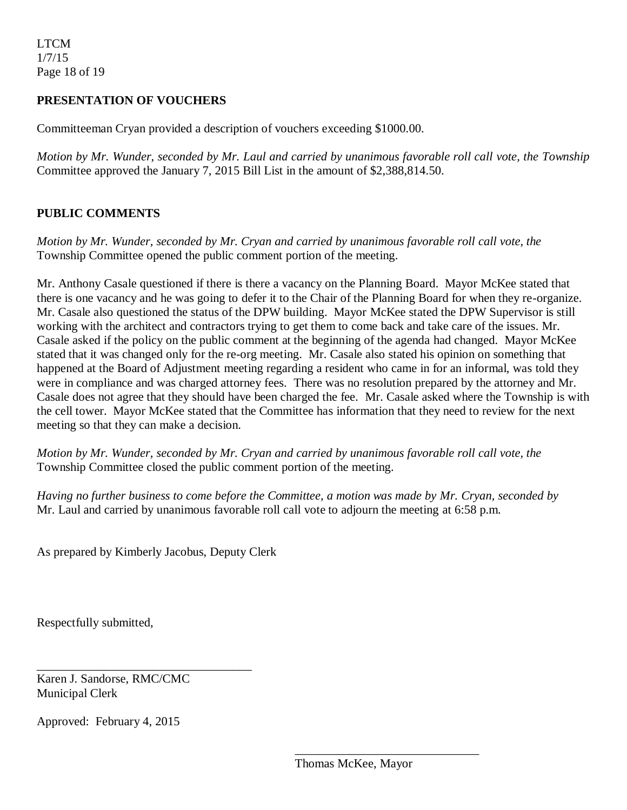### **PRESENTATION OF VOUCHERS**

Committeeman Cryan provided a description of vouchers exceeding \$1000.00.

*Motion by Mr. Wunder, seconded by Mr. Laul and carried by unanimous favorable roll call vote, the Township* Committee approved the January 7, 2015 Bill List in the amount of \$2,388,814.50.

### **PUBLIC COMMENTS**

*Motion by Mr. Wunder, seconded by Mr. Cryan and carried by unanimous favorable roll call vote, the* Township Committee opened the public comment portion of the meeting.

Mr. Anthony Casale questioned if there is there a vacancy on the Planning Board. Mayor McKee stated that there is one vacancy and he was going to defer it to the Chair of the Planning Board for when they re-organize. Mr. Casale also questioned the status of the DPW building. Mayor McKee stated the DPW Supervisor is still working with the architect and contractors trying to get them to come back and take care of the issues. Mr. Casale asked if the policy on the public comment at the beginning of the agenda had changed. Mayor McKee stated that it was changed only for the re-org meeting. Mr. Casale also stated his opinion on something that happened at the Board of Adjustment meeting regarding a resident who came in for an informal, was told they were in compliance and was charged attorney fees. There was no resolution prepared by the attorney and Mr. Casale does not agree that they should have been charged the fee. Mr. Casale asked where the Township is with the cell tower. Mayor McKee stated that the Committee has information that they need to review for the next meeting so that they can make a decision.

*Motion by Mr. Wunder, seconded by Mr. Cryan and carried by unanimous favorable roll call vote, the* Township Committee closed the public comment portion of the meeting.

*Having no further business to come before the Committee, a motion was made by Mr. Cryan, seconded by*  Mr. Laul and carried by unanimous favorable roll call vote to adjourn the meeting at 6:58 p.m.

As prepared by Kimberly Jacobus, Deputy Clerk

Respectfully submitted,

Karen J. Sandorse, RMC/CMC Municipal Clerk

\_\_\_\_\_\_\_\_\_\_\_\_\_\_\_\_\_\_\_\_\_\_\_\_\_\_\_\_\_\_\_\_\_\_\_

Approved: February 4, 2015

\_\_\_\_\_\_\_\_\_\_\_\_\_\_\_\_\_\_\_\_\_\_\_\_\_\_\_\_\_\_